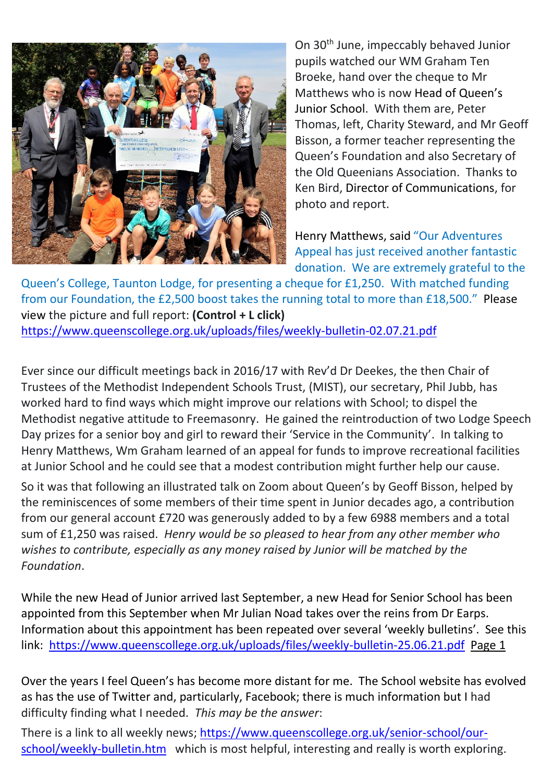

On 30th June, impeccably behaved Junior pupils watched our WM Graham Ten Broeke, hand over the cheque to Mr Matthews who is now Head of Queen's Junior School. With them are, Peter Thomas, left, Charity Steward, and Mr Geoff Bisson, a former teacher representing the Queen's Foundation and also Secretary of the Old Queenians Association. Thanks to Ken Bird, Director of Communications, for photo and report.

Henry Matthews, said "Our Adventures Appeal has just received another fantastic donation. We are extremely grateful to the

Queen's College, Taunton Lodge, for presenting a cheque for £1,250. With matched funding from our Foundation, the £2,500 boost takes the running total to more than £18,500." Please view the picture and full report: **(Control + L click)** <https://www.queenscollege.org.uk/uploads/files/weekly-bulletin-02.07.21.pdf>

Ever since our difficult meetings back in 2016/17 with Rev'd Dr Deekes, the then Chair of Trustees of the Methodist Independent Schools Trust, (MIST), our secretary, Phil Jubb, has worked hard to find ways which might improve our relations with School; to dispel the Methodist negative attitude to Freemasonry. He gained the reintroduction of two Lodge Speech Day prizes for a senior boy and girl to reward their 'Service in the Community'. In talking to Henry Matthews, Wm Graham learned of an appeal for funds to improve recreational facilities at Junior School and he could see that a modest contribution might further help our cause.

So it was that following an illustrated talk on Zoom about Queen's by Geoff Bisson, helped by the reminiscences of some members of their time spent in Junior decades ago, a contribution from our general account £720 was generously added to by a few 6988 members and a total sum of £1,250 was raised. *Henry would be so pleased to hear from any other member who wishes to contribute, especially as any money raised by Junior will be matched by the Foundation*.

While the new Head of Junior arrived last September, a new Head for Senior School has been appointed from this September when Mr Julian Noad takes over the reins from Dr Earps. Information about this appointment has been repeated over several 'weekly bulletins'. See this link: <https://www.queenscollege.org.uk/uploads/files/weekly-bulletin-25.06.21.pdf>Page 1

Over the years I feel Queen's has become more distant for me. The School website has evolved as has the use of Twitter and, particularly, Facebook; there is much information but I had difficulty finding what I needed. *This may be the answer*:

There is a link to all weekly news; [https://www.queenscollege.org.uk/senior-school/our](https://www.queenscollege.org.uk/senior-school/our-school/weekly-bulletin.htm)[school/weekly-bulletin.htm](https://www.queenscollege.org.uk/senior-school/our-school/weekly-bulletin.htm) which is most helpful, interesting and really is worth exploring.